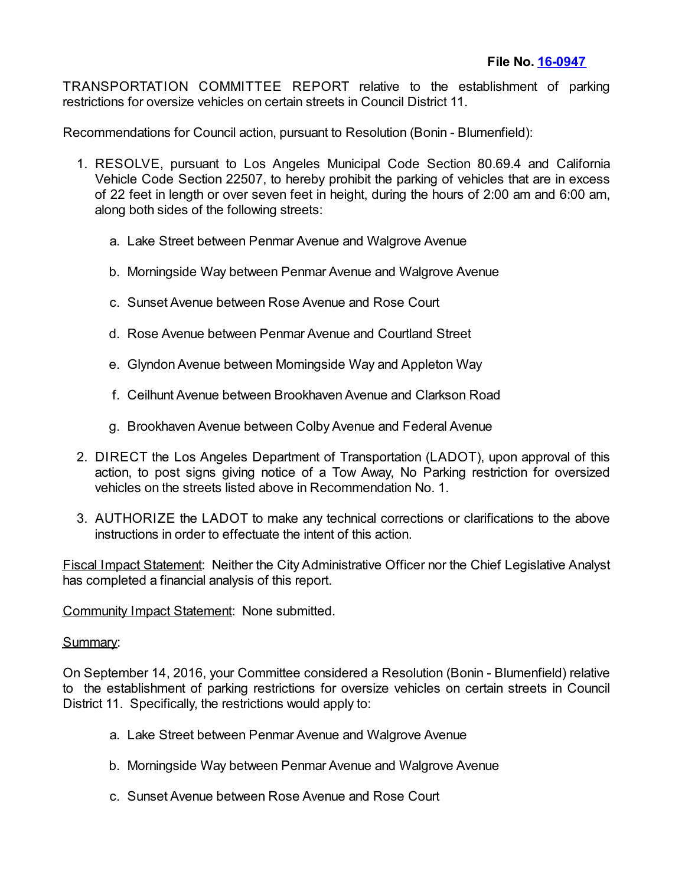TRANSPORTATION COMMITTEE REPORT relative to the establishment of parking restrictions for oversize vehicles on certain streets in Council District 11.

Recommendations for Council action, pursuant to Resolution (Bonin - Blumenfield):

- 1. RESOLVE, pursuant to Los Angeles Municipal Code Section 80.69.4 and California Vehicle Code Section 22507, to hereby prohibit the parking of vehicles that are in excess of 22 feet in length or over seven feet in height, during the hours of 2:00 am and 6:00 am, along both sides of the following streets:
	- a. Lake Street between Penmar Avenue and Walgrove Avenue
	- b. Morningside Way between Penmar Avenue and Walgrove Avenue
	- c. Sunset Avenue between Rose Avenue and Rose Court
	- d. Rose Avenue between Penmar Avenue and Courtland Street
	- e. Glyndon Avenue between Momingside Way and Appleton Way
	- f. Ceilhunt Avenue between Brookhaven Avenue and Clarkson Road
	- g. Brookhaven Avenue between Colby Avenue and Federal Avenue
- 2. DIRECT the Los Angeles Department of Transportation (LADOT), upon approval of this action, to post signs giving notice of a Tow Away, No Parking restriction for oversized vehicles on the streets listed above in Recommendation No. 1.
- 3. AUTHORIZE the LADOT to make any technical corrections or clarifications to the above instructions in order to effectuate the intent of this action.

Fiscal Impact Statement: Neither the City Administrative Officer nor the Chief Legislative Analyst has completed a financial analysis of this report.

Community Impact Statement: None submitted.

## Summary:

On September 14, 2016, your Committee considered a Resolution (Bonin - Blumenfield) relative to the establishment of parking restrictions for oversize vehicles on certain streets in Council District 11. Specifically, the restrictions would apply to:

- a. Lake Street between Penmar Avenue and Walgrove Avenue
- b. Morningside Way between Penmar Avenue and Walgrove Avenue
- c. Sunset Avenue between Rose Avenue and Rose Court